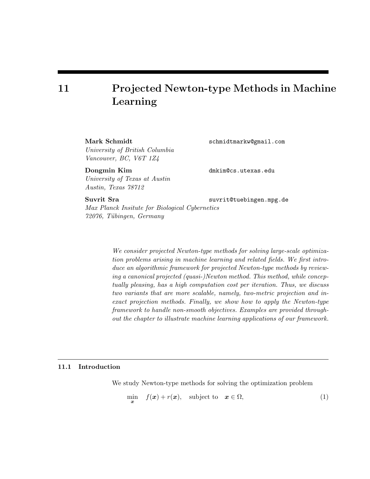# 11 Projected Newton-type Methods in Machine Learning

Mark Schmidt schmidtmarkw@gmail.com University of British Columbia Vancouver, BC, V6T 1Z4

Dongmin Kim dmkim@cs.utexas.edu University of Texas at Austin Austin, Texas 78712

Suvrit Sra suvrit@tuebingen.mpg.de

Max Planck Insitute for Biological Cybernetics 72076, Tübingen, Germany

> We consider projected Newton-type methods for solving large-scale optimization problems arising in machine learning and related fields. We first introduce an algorithmic framework for projected Newton-type methods by reviewing a canonical projected (quasi-)Newton method. This method, while conceptually pleasing, has a high computation cost per iteration. Thus, we discuss two variants that are more scalable, namely, two-metric projection and inexact projection methods. Finally, we show how to apply the Newton-type framework to handle non-smooth objectives. Examples are provided throughout the chapter to illustrate machine learning applications of our framework.

# 11.1 Introduction

We study Newton-type methods for solving the optimization problem

$$
\min_{\boldsymbol{x}} \quad f(\boldsymbol{x}) + r(\boldsymbol{x}), \quad \text{subject to} \quad \boldsymbol{x} \in \Omega,
$$
\n<sup>(1)</sup>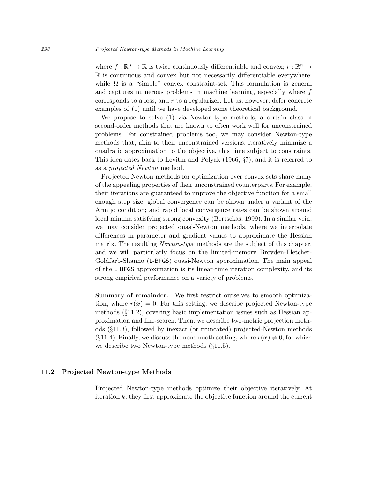where  $f : \mathbb{R}^n \to \mathbb{R}$  is twice continuously differentiable and convex;  $r : \mathbb{R}^n \to$  $\mathbb R$  is continuous and convex but not necessarily differentiable everywhere; while  $\Omega$  is a "simple" convex constraint-set. This formulation is general and captures numerous problems in machine learning, especially where f corresponds to a loss, and r to a regularizer. Let us, however, defer concrete examples of (1) until we have developed some theoretical background.

We propose to solve (1) via Newton-type methods, a certain class of second-order methods that are known to often work well for unconstrained problems. For constrained problems too, we may consider Newton-type methods that, akin to their unconstrained versions, iteratively minimize a quadratic approximation to the objective, this time subject to constraints. This idea dates back to Levitin and Polyak (1966, §7), and it is referred to as a projected Newton method.

Projected Newton methods for optimization over convex sets share many of the appealing properties of their unconstrained counterparts. For example, their iterations are guaranteed to improve the objective function for a small enough step size; global convergence can be shown under a variant of the Armijo condition; and rapid local convergence rates can be shown around local minima satisfying strong convexity (Bertsekas, 1999). In a similar vein, we may consider projected quasi-Newton methods, where we interpolate differences in parameter and gradient values to approximate the Hessian matrix. The resulting *Newton-type* methods are the subject of this chapter, and we will particularly focus on the limited-memory Broyden-Fletcher-Goldfarb-Shanno (L-BFGS) quasi-Newton approximation. The main appeal of the L-BFGS approximation is its linear-time iteration complexity, and its strong empirical performance on a variety of problems.

Summary of remainder. We first restrict ourselves to smooth optimization, where  $r(x) = 0$ . For this setting, we describe projected Newton-type methods (§11.2), covering basic implementation issues such as Hessian approximation and line-search. Then, we describe two-metric projection methods (§11.3), followed by inexact (or truncated) projected-Newton methods  $(\S{11.4})$ . Finally, we discuss the nonsmooth setting, where  $r(x) \neq 0$ , for which we describe two Newton-type methods (§11.5).

# 11.2 Projected Newton-type Methods

Projected Newton-type methods optimize their objective iteratively. At iteration k, they first approximate the objective function around the current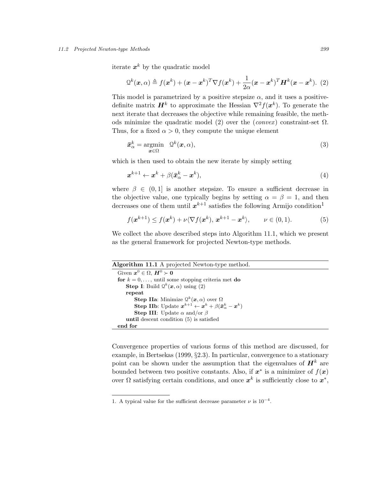#### 11.2 Projected Newton-type Methods 299

iterate  $x^k$  by the quadratic model

$$
\mathcal{Q}^k(\boldsymbol{x},\alpha) \triangleq f(\boldsymbol{x}^k) + (\boldsymbol{x} - \boldsymbol{x}^k)^T \nabla f(\boldsymbol{x}^k) + \frac{1}{2\alpha} (\boldsymbol{x} - \boldsymbol{x}^k)^T \boldsymbol{H}^k(\boldsymbol{x} - \boldsymbol{x}^k).
$$
 (2)

This model is parametrized by a positive stepsize  $\alpha$ , and it uses a positivedefinite matrix  $\mathbf{H}^k$  to approximate the Hessian  $\nabla^2 f(\mathbf{x}^k)$ . To generate the next iterate that decreases the objective while remaining feasible, the methods minimize the quadratic model (2) over the (convex) constraint-set  $\Omega$ . Thus, for a fixed  $\alpha > 0$ , they compute the unique element

$$
\bar{\boldsymbol{x}}_{\alpha}^{k} = \underset{\boldsymbol{x} \in \Omega}{\operatorname{argmin}} \quad \mathcal{Q}^{k}(\boldsymbol{x}, \alpha), \tag{3}
$$

which is then used to obtain the new iterate by simply setting

$$
\boldsymbol{x}^{k+1} \leftarrow \boldsymbol{x}^k + \beta (\bar{\boldsymbol{x}}_{\alpha}^k - \boldsymbol{x}^k),\tag{4}
$$

where  $\beta \in (0,1]$  is another stepsize. To ensure a sufficient decrease in the objective value, one typically begins by setting  $\alpha = \beta = 1$ , and then decreases one of them until  $x^{k+1}$  satisfies the following Armijo condition<sup>1</sup>

$$
f(\boldsymbol{x}^{k+1}) \le f(\boldsymbol{x}^k) + \nu \langle \nabla f(\boldsymbol{x}^k), \boldsymbol{x}^{k+1} - \boldsymbol{x}^k \rangle, \qquad \nu \in (0,1). \tag{5}
$$

We collect the above described steps into Algorithm 11.1, which we present as the general framework for projected Newton-type methods.

#### Algorithm 11.1 A projected Newton-type method.

Given  $\boldsymbol{x}^0 \in \Omega$ ,  $\boldsymbol{H}^0 \succ \boldsymbol{0}$ for  $k = 0, \ldots$ , until some stopping criteria met do **Step I**: Build  $Q^k(\boldsymbol{x}, \alpha)$  using (2) repeat **Step IIa**: Minimize  $Q^k(\boldsymbol{x}, \alpha)$  over  $\Omega$  $\textbf{Step IIb: Update } \boldsymbol{x}^{k+1} \leftarrow \boldsymbol{x}^k + \beta(\bar{\boldsymbol{x}}^k_{\alpha} - \boldsymbol{x}^k)$ **Step III:** Update  $\alpha$  and/or  $\beta$ until descent condition (5) is satisfied end for

Convergence properties of various forms of this method are discussed, for example, in Bertsekas (1999, §2.3). In particular, convergence to a stationary point can be shown under the assumption that the eigenvalues of  $\mathbf{H}^{k}$  are bounded between two positive constants. Also, if  $x^*$  is a minimizer of  $f(x)$ over  $\Omega$  satisfying certain conditions, and once  $x^k$  is sufficiently close to  $x^*$ ,

<sup>1.</sup> A typical value for the sufficient decrease parameter  $\nu$  is 10<sup>-4</sup>.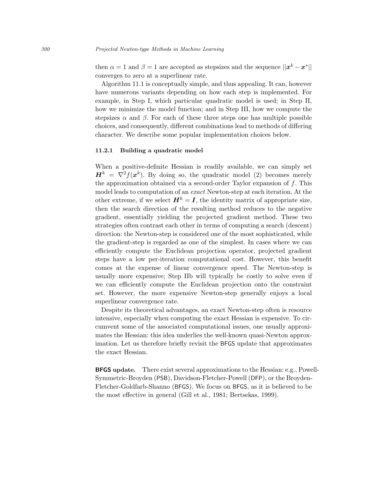then  $\alpha = 1$  and  $\beta = 1$  are accepted as stepsizes and the sequence  $||x^k - x^*||$ converges to zero at a superlinear rate.

Algorithm 11.1 is conceptually simple, and thus appealing. It can, however have numerous variants depending on how each step is implemented. For example, in Step I, which particular quadratic model is used; in Step II, how we minimize the model function; and in Step III, how we compute the stepsizes  $\alpha$  and  $\beta$ . For each of these three steps one has multiple possible choices, and consequently, different combinations lead to methods of differing character. We describe some popular implementation choices below.

## 11.2.1 Building a quadratic model

When a positive-definite Hessian is readily available, we can simply set  $\mathbf{H}^{k} = \nabla^{2} f(\mathbf{x}^{k})$ . By doing so, the quadratic model (2) becomes merely the approximation obtained via a second-order Taylor expansion of f. This model leads to computation of an exact Newton-step at each iteration. At the other extreme, if we select  $\mathbf{H}^{k} = \mathbf{I}$ , the identity matrix of appropriate size, then the search direction of the resulting method reduces to the negative gradient, essentially yielding the projected gradient method. These two strategies often contrast each other in terms of computing a search (descent) direction: the Newton-step is considered one of the most sophisticated, while the gradient-step is regarded as one of the simplest. In cases where we can efficiently compute the Euclidean projection operator, projected gradient steps have a low per-iteration computational cost. However, this benefit comes at the expense of linear convergence speed. The Newton-step is usually more expensive; Step IIb will typically be costly to solve even if we can efficiently compute the Euclidean projection onto the constraint set. However, the more expensive Newton-step generally enjoys a local superlinear convergence rate.

Despite its theoretical advantages, an exact Newton-step often is resource intensive, especially when computing the exact Hessian is expensive. To circumvent some of the associated computational issues, one usually approximates the Hessian: this idea underlies the well-known quasi-Newton approximation. Let us therefore briefly revisit the BFGS update that approximates the exact Hessian.

BFGS update. There exist several approximations to the Hessian: e.g., Powell-Symmetric-Broyden (PSB), Davidson-Fletcher-Powell (DFP), or the Broyden-Fletcher-Goldfarb-Shanno (BFGS). We focus on BFGS, as it is believed to be the most effective in general (Gill et al., 1981; Bertsekas, 1999).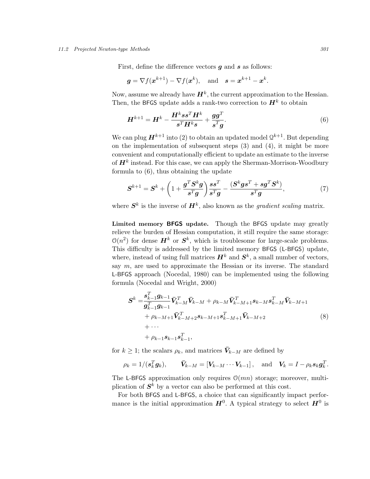## 11.2 Projected Newton-type Methods 301

First, define the difference vectors  $g$  and  $s$  as follows:

$$
g = \nabla f(x^{k+1}) - \nabla f(x^k)
$$
, and  $s = x^{k+1} - x^k$ .

Now, assume we already have  $\boldsymbol{H}^k$ , the current approximation to the Hessian. Then, the BFGS update adds a rank-two correction to  $H^k$  to obtain

$$
\boldsymbol{H}^{k+1} = \boldsymbol{H}^k - \frac{\boldsymbol{H}^k s s^T \boldsymbol{H}^k}{s^T \boldsymbol{H}^k s} + \frac{\boldsymbol{g} \boldsymbol{g}^T}{s^T \boldsymbol{g}}.
$$
\n
$$
\tag{6}
$$

We can plug  $\boldsymbol{H}^{k+1}$  into (2) to obtain an updated model  $\mathcal{Q}^{k+1}.$  But depending on the implementation of subsequent steps (3) and (4), it might be more convenient and computationally efficient to update an estimate to the inverse of  $\boldsymbol{H}^k$  instead. For this case, we can apply the Sherman-Morrison-Woodbury formula to (6), thus obtaining the update

$$
\boldsymbol{S}^{k+1} = \boldsymbol{S}^k + \left(1 + \frac{\boldsymbol{g}^T \boldsymbol{S}^k \boldsymbol{g}}{\boldsymbol{s}^T \boldsymbol{g}}\right) \frac{\boldsymbol{s} \boldsymbol{s}^T}{\boldsymbol{s}^T \boldsymbol{g}} - \frac{(\boldsymbol{S}^k \boldsymbol{g} \boldsymbol{s}^T + \boldsymbol{s} \boldsymbol{g}^T \boldsymbol{S}^k)}{\boldsymbol{s}^T \boldsymbol{g}},\tag{7}
$$

where  $S^k$  is the inverse of  $H^k$ , also known as the *gradient scaling* matrix.

Limited memory BFGS update. Though the BFGS update may greatly relieve the burden of Hessian computation, it still require the same storage:  $\mathcal{O}(n^2)$  for dense  $\mathbf{H}^k$  or  $\mathbf{S}^k$ , which is troublesome for large-scale problems. This difficulty is addressed by the limited memory BFGS (L-BFGS) update, where, instead of using full matrices  $\mathbf{H}^{k}$  and  $\mathbf{S}^{k}$ , a small number of vectors, say  $m$ , are used to approximate the Hessian or its inverse. The standard L-BFGS approach (Nocedal, 1980) can be implemented using the following formula (Nocedal and Wright, 2000)

$$
S^{k} = \frac{\mathbf{s}_{k-1}^{T} \mathbf{g}_{k-1}}{\mathbf{g}_{k-1}^{T} \mathbf{g}_{k-1}} \bar{\mathbf{V}}_{k-M}^{T} \bar{\mathbf{V}}_{k-M} + \rho_{k-M} \bar{\mathbf{V}}_{k-M+1}^{T} \mathbf{s}_{k-M} \mathbf{s}_{k-M}^{T} \bar{\mathbf{V}}_{k-M+1} + \rho_{k-M+1} \bar{\mathbf{V}}_{k-M+2}^{T} \mathbf{s}_{k-M+1} \mathbf{s}_{k-M+1}^{T} \bar{\mathbf{V}}_{k-M+2} + \cdots + \rho_{k-1} \mathbf{s}_{k-1} \mathbf{s}_{k-1}^{T},
$$
\n(8)

for  $k \geq 1$ ; the scalars  $\rho_k$ , and matrices  $\bar{V}_{k-M}$  are defined by

$$
\rho_k = 1/(\mathbf{s}_k^T \mathbf{g}_k), \qquad \bar{\mathbf{V}}_{k-M} = [\mathbf{V}_{k-M} \cdots \mathbf{V}_{k-1}], \text{ and } \mathbf{V}_k = I - \rho_k \mathbf{s}_k \mathbf{g}_k^T.
$$

The L-BFGS approximation only requires  $\mathcal{O}(mn)$  storage; moreover, multiplication of  $S^k$  by a vector can also be performed at this cost.

For both BFGS and L-BFGS, a choice that can significantly impact performance is the initial approximation  $H^0$ . A typical strategy to select  $H^0$  is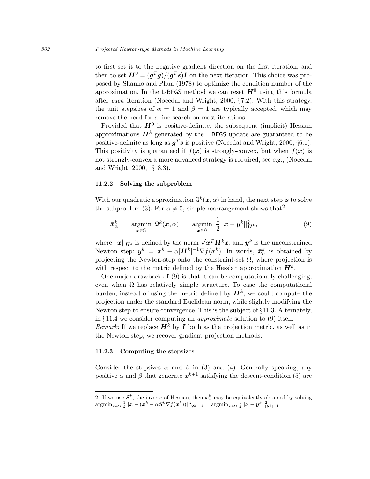to first set it to the negative gradient direction on the first iteration, and then to set  $\boldsymbol{H}^0 = (\boldsymbol{g}^T \boldsymbol{g})/(\boldsymbol{g}^T \boldsymbol{s}) \boldsymbol{I}$  on the next iteration. This choice was proposed by Shanno and Phua (1978) to optimize the condition number of the approximation. In the L-BFGS method we can reset  $H^0$  using this formula after each iteration (Nocedal and Wright, 2000, §7.2). With this strategy, the unit stepsizes of  $\alpha = 1$  and  $\beta = 1$  are typically accepted, which may remove the need for a line search on most iterations.

Provided that  $H^0$  is positive-definite, the subsequent (implicit) Hessian approximations  $\mathbf{H}^{k}$  generated by the L-BFGS update are guaranteed to be positive-definite as long as  $g^T s$  is positive (Nocedal and Wright, 2000, §6.1). This positivity is guaranteed if  $f(x)$  is strongly-convex, but when  $f(x)$  is not strongly-convex a more advanced strategy is required, see e.g., (Nocedal and Wright, 2000, §18.3).

## 11.2.2 Solving the subproblem

With our quadratic approximation  $\mathcal{Q}^k(\bm{x}, \alpha)$  in hand, the next step is to solve the subproblem (3). For  $\alpha \neq 0$ , simple rearrangement shows that<sup>2</sup>

$$
\bar{\boldsymbol{x}}_{\alpha}^{k} = \underset{\boldsymbol{x} \in \Omega}{\operatorname{argmin}} \ \mathcal{Q}^{k}(\boldsymbol{x}, \alpha) = \underset{\boldsymbol{x} \in \Omega}{\operatorname{argmin}} \ \frac{1}{2} ||\boldsymbol{x} - \boldsymbol{y}^{k}||_{\boldsymbol{H}^{k}}^{2}, \tag{9}
$$

where  $\|\boldsymbol{x}\|_{\boldsymbol{H}^k}$  is defined by the norm  $\sqrt{\boldsymbol{x}^T\boldsymbol{H}^k\boldsymbol{x}}$ , and  $\boldsymbol{y}^k$  is the unconstrained Newton step:  $y^k = x^k - \alpha[H^k]^{-1} \nabla f(x^k)$ . In words,  $\bar{x}^k_\alpha$  is obtained by projecting the Newton-step onto the constraint-set  $\Omega$ , where projection is with respect to the metric defined by the Hessian approximation  $H^k$ .

One major drawback of (9) is that it can be computationally challenging, even when  $\Omega$  has relatively simple structure. To ease the computational burden, instead of using the metric defined by  $\mathbf{H}^{k}$ , we could compute the projection under the standard Euclidean norm, while slightly modifying the Newton step to ensure convergence. This is the subject of §11.3. Alternately, in §11.4 we consider computing an approximate solution to (9) itself.

*Remark:* If we replace  $H^k$  by I both as the projection metric, as well as in the Newton step, we recover gradient projection methods.

# 11.2.3 Computing the stepsizes

Consider the stepsizes  $\alpha$  and  $\beta$  in (3) and (4). Generally speaking, any positive  $\alpha$  and  $\beta$  that generate  $x^{k+1}$  satisfying the descent-condition (5) are

<sup>2.</sup> If we use  $S^k$ , the inverse of Hessian, then  $\bar{x}^k_\alpha$  may be equivalently obtained by solving  $\mathop{\rm argmin}_{\bm{x}\in\Omega} \frac{1}{2}||\bm{x}-(\bm{x}^k-\alpha \bm{S}^k\nabla f(\bm{x}^k))||^2_{|\bm{S}^k|^{-1}}=\mathop{\rm argmin}_{\bm{x}\in\Omega} \frac{1}{2}||\bm{x}-\bm{y}^k||^2_{|\bm{S}^k|^{-1}}.$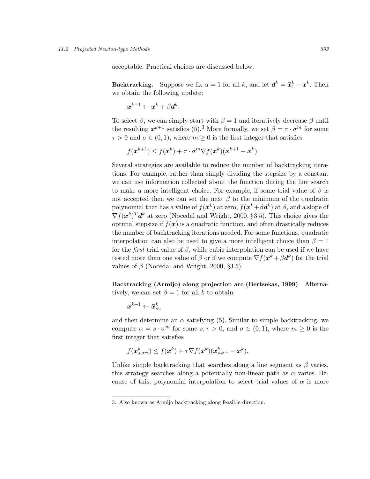acceptable. Practical choices are discussed below.

Backtracking. Suppose we fix  $\alpha = 1$  for all k, and let  $d^k = \bar{x}_1^k - x^k$ . Then we obtain the following update:

$$
\boldsymbol{x}^{k+1} \leftarrow \boldsymbol{x}^k + \beta \boldsymbol{d}^k.
$$

To select  $\beta$ , we can simply start with  $\beta = 1$  and iteratively decrease  $\beta$  until the resulting  $x^{k+1}$  satisfies (5).<sup>3</sup> More formally, we set  $\beta = \tau \cdot \sigma^m$  for some  $\tau > 0$  and  $\sigma \in (0, 1)$ , where  $m \geq 0$  is the first integer that satisfies

$$
f(\boldsymbol{x}^{k+1}) \le f(\boldsymbol{x}^k) + \tau \cdot \sigma^m \nabla f(\boldsymbol{x}^k) (\boldsymbol{x}^{k+1} - \boldsymbol{x}^k).
$$

Several strategies are available to reduce the number of backtracking iterations. For example, rather than simply dividing the stepsize by a constant we can use information collected about the function during the line search to make a more intelligent choice. For example, if some trial value of  $\beta$  is not accepted then we can set the next  $\beta$  to the minimum of the quadratic polynomial that has a value of  $f(\bm{x}^k)$  at zero,  $f(\bm{x}^k+\beta\bm{d}^k)$  at  $\beta$ , and a slope of  $\nabla f(\boldsymbol{x}^k)^T \boldsymbol{d}^k$  at zero (Nocedal and Wright, 2000, §3.5). This choice gives the optimal stepsize if  $f(x)$  is a quadratic function, and often drastically reduces the number of backtracking iterations needed. For some functions, quadratic interpolation can also be used to give a more intelligent choice than  $\beta = 1$ for the *first* trial value of  $\beta$ , while cubic interpolation can be used if we have tested more than one value of  $\beta$  or if we compute  $\nabla f(\mathbf{x}^k + \beta \mathbf{d}^k)$  for the trial values of  $\beta$  (Nocedal and Wright, 2000, §3.5).

Backtracking (Armijo) along projection arc (Bertsekas, 1999) Alternatively, we can set  $\beta = 1$  for all k to obtain

$$
\boldsymbol{x}^{k+1} \leftarrow \boldsymbol{\bar{x}}_{\alpha}^{k},
$$

and then determine an  $\alpha$  satisfying (5). Similar to simple backtracking, we compute  $\alpha = s \cdot \sigma^m$  for some  $s, \tau > 0$ , and  $\sigma \in (0, 1)$ , where  $m \ge 0$  is the first integer that satisfies

$$
f(\bar{\boldsymbol{x}}_{s\cdot\sigma^m}^k) \leq f(\boldsymbol{x}^k) + \tau \nabla f(\boldsymbol{x}^k) (\bar{\boldsymbol{x}}_{s\cdot\sigma^m}^k - \boldsymbol{x}^k).
$$

Unlike simple backtracking that searches along a line segment as  $\beta$  varies, this strategy searches along a potentially non-linear path as  $\alpha$  varies. Because of this, polynomial interpolation to select trial values of  $\alpha$  is more

<sup>3.</sup> Also known as Armijo backtracking along feasible direction.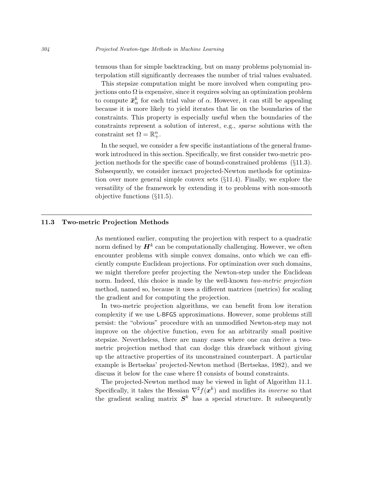tenuous than for simple backtracking, but on many problems polynomial interpolation still significantly decreases the number of trial values evaluated.

This stepsize computation might be more involved when computing projections onto  $\Omega$  is expensive, since it requires solving an optimization problem to compute  $\bar{\mathbf{x}}_{\alpha}^{k}$  for each trial value of  $\alpha$ . However, it can still be appealing because it is more likely to yield iterates that lie on the boundaries of the constraints. This property is especially useful when the boundaries of the constraints represent a solution of interest, e.g., sparse solutions with the constraint set  $\Omega = \mathbb{R}^n_+$ .

In the sequel, we consider a few specific instantiations of the general framework introduced in this section. Specifically, we first consider two-metric projection methods for the specific case of bound-constrained problems (§11.3). Subsequently, we consider inexact projected-Newton methods for optimization over more general simple convex sets (§11.4). Finally, we explore the versatility of the framework by extending it to problems with non-smooth objective functions (§11.5).

# 11.3 Two-metric Projection Methods

As mentioned earlier, computing the projection with respect to a quadratic norm defined by  $H^k$  can be computationally challenging. However, we often encounter problems with simple convex domains, onto which we can efficiently compute Euclidean projections. For optimization over such domains, we might therefore prefer projecting the Newton-step under the Euclidean norm. Indeed, this choice is made by the well-known two-metric projection method, named so, because it uses a different matrices (metrics) for scaling the gradient and for computing the projection.

In two-metric projection algorithms, we can benefit from low iteration complexity if we use L-BFGS approximations. However, some problems still persist: the "obvious" procedure with an unmodified Newton-step may not improve on the objective function, even for an arbitrarily small positive stepsize. Nevertheless, there are many cases where one can derive a twometric projection method that can dodge this drawback without giving up the attractive properties of its unconstrained counterpart. A particular example is Bertsekas' projected-Newton method (Bertsekas, 1982), and we discuss it below for the case where  $\Omega$  consists of bound constraints.

The projected-Newton method may be viewed in light of Algorithm 11.1. Specifically, it takes the Hessian  $\nabla^2 f(x^k)$  and modifies its *inverse* so that the gradient scaling matrix  $S<sup>k</sup>$  has a special structure. It subsequently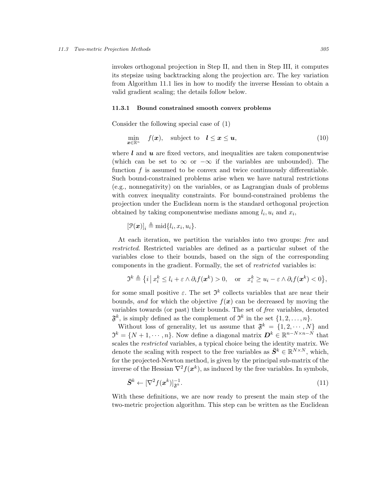invokes orthogonal projection in Step II, and then in Step III, it computes its stepsize using backtracking along the projection arc. The key variation from Algorithm 11.1 lies in how to modify the inverse Hessian to obtain a valid gradient scaling; the details follow below.

#### 11.3.1 Bound constrained smooth convex problems

Consider the following special case of (1)

$$
\min_{\boldsymbol{x}\in\mathbb{R}^n} \quad f(\boldsymbol{x}), \quad \text{subject to} \quad \boldsymbol{l}\leq \boldsymbol{x}\leq \boldsymbol{u}, \tag{10}
$$

where  $\boldsymbol{l}$  and  $\boldsymbol{u}$  are fixed vectors, and inequalities are taken componentwise (which can be set to  $\infty$  or  $-\infty$  if the variables are unbounded). The function  $f$  is assumed to be convex and twice continuously differentiable. Such bound-constrained problems arise when we have natural restrictions (e.g., nonnegativity) on the variables, or as Lagrangian duals of problems with convex inequality constraints. For bound-constrained problems the projection under the Euclidean norm is the standard orthogonal projection obtained by taking componentwise medians among  $l_i, u_i$  and  $x_i$ ,

$$
[\mathcal{P}(\boldsymbol{x})]_i \triangleq \text{mid}\{l_i, x_i, u_i\}.
$$

At each iteration, we partition the variables into two groups: free and restricted. Restricted variables are defined as a particular subset of the variables close to their bounds, based on the sign of the corresponding components in the gradient. Formally, the set of restricted variables is:

$$
\mathfrak{I}^k \triangleq \left\{ i \, \big| \, x_i^k \leq l_i + \varepsilon \wedge \partial_i f(\boldsymbol{x}^k) > 0, \quad \text{or} \quad x_i^k \geq u_i - \varepsilon \wedge \partial_i f(\boldsymbol{x}^k) < 0 \right\},
$$

for some small positive  $\varepsilon$ . The set  $\mathfrak{I}^k$  collects variables that are near their bounds, and for which the objective  $f(x)$  can be decreased by moving the variables towards (or past) their bounds. The set of free variables, denoted  $\mathfrak{F}^k$ , is simply defined as the complement of  $\mathfrak{I}^k$  in the set  $\{1, 2, \ldots, n\}$ .

Without loss of generality, let us assume that  $\mathfrak{F}^k = \{1, 2, \dots, N\}$  and  $\mathfrak{I}^k = \{N+1, \cdots, n\}$ . Now define a diagonal matrix  $\mathbf{D}^k \in \mathbb{R}^{n-N \times n-N}$  that scales the restricted variables, a typical choice being the identity matrix. We denote the scaling with respect to the free variables as  $\bar{S}^k \in \mathbb{R}^{N \times N}$ , which, for the projected-Newton method, is given by the principal sub-matrix of the inverse of the Hessian  $\nabla^2 f(\boldsymbol{x}^k)$ , as induced by the free variables. In symbols,

$$
\bar{S}^k \leftarrow [\nabla^2 f(\boldsymbol{x}^k)]_{\mathfrak{F}^k}^{-1}.\tag{11}
$$

With these definitions, we are now ready to present the main step of the two-metric projection algorithm. This step can be written as the Euclidean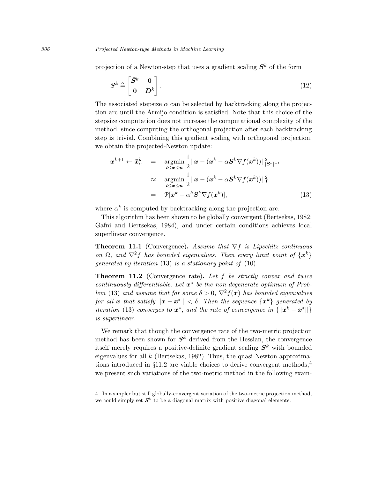projection of a Newton-step that uses a gradient scaling  $S<sup>k</sup>$  of the form

$$
\mathbf{S}^k \triangleq \begin{bmatrix} \bar{\mathbf{S}}^k & \mathbf{0} \\ \mathbf{0} & \mathbf{D}^k \end{bmatrix} . \tag{12}
$$

The associated stepsize  $\alpha$  can be selected by backtracking along the projection arc until the Armijo condition is satisfied. Note that this choice of the stepsize computation does not increase the computational complexity of the method, since computing the orthogonal projection after each backtracking step is trivial. Combining this gradient scaling with orthogonal projection, we obtain the projected-Newton update:

$$
\mathbf{x}^{k+1} \leftarrow \bar{\mathbf{x}}_{\alpha}^{k} = \underset{\substack{l \leq x \leq u \\ l \leq x \leq u}}{\operatorname{argmin}} \frac{1}{2} ||\mathbf{x} - (\mathbf{x}^{k} - \alpha \mathbf{S}^{k} \nabla f(\mathbf{x}^{k}))||_{[\mathbf{S}^{k}]^{-1}}^{2}
$$
\n
$$
\approx \underset{\substack{l \leq x \leq u \\ \mathbf{x}^{k} - \alpha^{k} \mathbf{S}^{k}}}{\operatorname{argmin}} \frac{1}{2} ||\mathbf{x} - (\mathbf{x}^{k} - \alpha \mathbf{S}^{k} \nabla f(\mathbf{x}^{k}))||_{\mathbf{I}}^{2}
$$
\n
$$
= \mathcal{P}[\mathbf{x}^{k} - \alpha^{k} \mathbf{S}^{k} \nabla f(\mathbf{x}^{k})], \tag{13}
$$

where  $\alpha^k$  is computed by backtracking along the projection arc.

This algorithm has been shown to be globally convergent (Bertsekas, 1982; Gafni and Bertsekas, 1984), and under certain conditions achieves local superlinear convergence.

**Theorem 11.1** (Convergence). Assume that  $\nabla f$  is Lipschitz continuous on  $\Omega$ , and  $\nabla^2 f$  has bounded eigenvalues. Then every limit point of  $\{\boldsymbol{x}^k\}$ generated by iteration (13) is a stationary point of (10).

Theorem 11.2 (Convergence rate). Let f be strictly convex and twice continuously differentiable. Let  $x^*$  be the non-degenerate optimum of Problem (13) and assume that for some  $\delta > 0$ ,  $\nabla^2 f(x)$  has bounded eigenvalues for all x that satisfy  $\|\boldsymbol{x}-\boldsymbol{x}^*\| < \delta$ . Then the sequence  $\{\boldsymbol{x}^k\}$  generated by *iteration* (13) converges to  $x^*$ , and the rate of convergence in  $\{\Vert x^k - x^* \Vert\}$ is superlinear.

We remark that though the convergence rate of the two-metric projection method has been shown for  $S<sup>k</sup>$  derived from the Hessian, the convergence itself merely requires a positive-definite gradient scaling  $S<sup>k</sup>$  with bounded eigenvalues for all  $k$  (Bertsekas, 1982). Thus, the quasi-Newton approximations introduced in  $\S11.2$  are viable choices to derive convergent methods,<sup>4</sup> we present such variations of the two-metric method in the following exam-

<sup>4.</sup> In a simpler but still globally-convergent variation of the two-metric projection method, we could simply set  $S<sup>k</sup>$  to be a diagonal matrix with positive diagonal elements.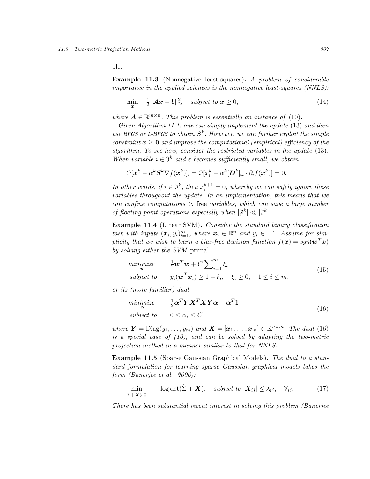ple.

Example 11.3 (Nonnegative least-squares). A problem of considerable importance in the applied sciences is the nonnegative least-squares (NNLS):

$$
\min_{\boldsymbol{x}} \quad \frac{1}{2} \|\boldsymbol{A}\boldsymbol{x} - \boldsymbol{b}\|_2^2, \quad subject \ to \ \boldsymbol{x} \ge 0,
$$
\n
$$
(14)
$$

where  $A \in \mathbb{R}^{m \times n}$ . This problem is essentially an instance of (10).

Given Algorithm 11.1, one can simply implement the update (13) and then use BFGS or L-BFGS to obtain  $S<sup>k</sup>$ . However, we can further exploit the simple constraint  $x \geq 0$  and improve the computational (empirical) efficiency of the algorithm. To see how, consider the restricted variables in the update (13). When variable  $i \in \mathfrak{I}^k$  and  $\varepsilon$  becomes sufficiently small, we obtain

$$
\mathcal{P}[\boldsymbol{x}^k - \alpha^k \boldsymbol{S}^k \nabla f(\boldsymbol{x}^k)]_i = \mathcal{P}[x_i^k - \alpha^k [\boldsymbol{D}^k]_{ii} \cdot \partial_i f(\boldsymbol{x}^k)] = 0.
$$

In other words, if  $i \in \mathfrak{I}^k$ , then  $x_i^{k+1} = 0$ , whereby we can safely ignore these variables throughout the update. In an implementation, this means that we can confine computations to free variables, which can save a large number of floating point operations especially when  $|\mathfrak{F}^k| \ll |\mathfrak{I}^k|$ .

Example 11.4 (Linear SVM). Consider the standard binary classification task with inputs  $(x_i, y_i)_{i=1}^m$ , where  $x_i \in \mathbb{R}^n$  and  $y_i \in \pm 1$ . Assume for simplicity that we wish to learn a bias-free decision function  $f(\mathbf{x}) = sgn(\mathbf{w}^T\mathbf{x})$ by solving either the SVM primal

| minimize | $-\frac{1}{2}\boldsymbol{w}^T\boldsymbol{w}+C\sum\nolimits_{i=1}^m \xi_i\,.$                      |  |  | (15) |
|----------|---------------------------------------------------------------------------------------------------|--|--|------|
|          | subject to $y_i(\mathbf{w}^T \mathbf{x}_i) \geq 1 - \xi_i$ , $\xi_i \geq 0$ , $1 \leq i \leq m$ , |  |  |      |

or its (more familiar) dual

$$
\begin{array}{ll}\n\text{minimize} & \frac{1}{2} \alpha^T \mathbf{Y} \mathbf{X}^T \mathbf{X} \mathbf{Y} \alpha - \alpha^T \mathbf{1} \\
\text{subject to} & 0 \le \alpha_i \le C,\n\end{array} \tag{16}
$$

where  $\boldsymbol{Y} = \text{Diag}(y_1, \ldots, y_m)$  and  $\boldsymbol{X} = [\boldsymbol{x}_1, \ldots, \boldsymbol{x}_m] \in \mathbb{R}^{n \times m}$ . The dual (16) is a special case of (10), and can be solved by adapting the two-metric projection method in a manner similar to that for NNLS.

Example 11.5 (Sparse Gaussian Graphical Models). The dual to a standard formulation for learning sparse Gaussian graphical models takes the form (Banerjee et al., 2006):

$$
\min_{\tilde{\Sigma}+\mathbf{X}\succ0} \quad -\log \det(\tilde{\Sigma}+\mathbf{X}), \quad subject \quad to \quad |\mathbf{X}_{ij}|\leq \lambda_{ij}, \quad \forall_{ij}.\tag{17}
$$

There has been substantial recent interest in solving this problem (Banerjee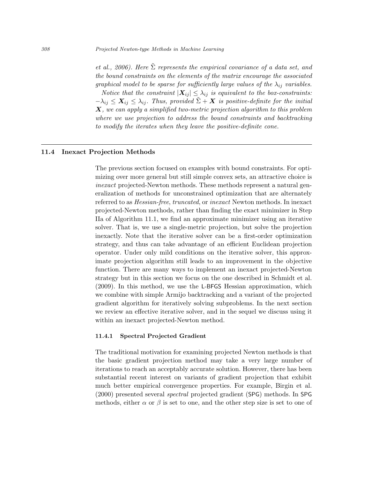et al., 2006). Here  $\Sigma$  represents the empirical covariance of a data set, and the bound constraints on the elements of the matrix encourage the associated graphical model to be sparse for sufficiently large values of the  $\lambda_{ij}$  variables. Notice that the constraint  $|\mathbf{X}_{ij}| \leq \lambda_{ij}$  is equivalent to the box-constraints:  $-\lambda_{ij} \leq X_{ij} \leq \lambda_{ij}$ . Thus, provided  $\Sigma + X$  is positive-definite for the initial  $\boldsymbol{X},$  we can apply a simplified two-metric projection algorithm to this problem where we use projection to address the bound constraints and backtracking to modify the iterates when they leave the positive-definite cone.

# 11.4 Inexact Projection Methods

The previous section focused on examples with bound constraints. For optimizing over more general but still simple convex sets, an attractive choice is inexact projected-Newton methods. These methods represent a natural generalization of methods for unconstrained optimization that are alternately referred to as Hessian-free, truncated, or inexact Newton methods. In inexact projected-Newton methods, rather than finding the exact minimizer in Step IIa of Algorithm 11.1, we find an approximate minimizer using an iterative solver. That is, we use a single-metric projection, but solve the projection inexactly. Note that the iterative solver can be a first-order optimization strategy, and thus can take advantage of an efficient Euclidean projection operator. Under only mild conditions on the iterative solver, this approximate projection algorithm still leads to an improvement in the objective function. There are many ways to implement an inexact projected-Newton strategy but in this section we focus on the one described in Schmidt et al. (2009). In this method, we use the L-BFGS Hessian approximation, which we combine with simple Armijo backtracking and a variant of the projected gradient algorithm for iteratively solving subproblems. In the next section we review an effective iterative solver, and in the sequel we discuss using it within an inexact projected-Newton method.

## 11.4.1 Spectral Projected Gradient

The traditional motivation for examining projected Newton methods is that the basic gradient projection method may take a very large number of iterations to reach an acceptably accurate solution. However, there has been substantial recent interest on variants of gradient projection that exhibit much better empirical convergence properties. For example, Birgin et al. (2000) presented several spectral projected gradient (SPG) methods. In SPG methods, either  $\alpha$  or  $\beta$  is set to one, and the other step size is set to one of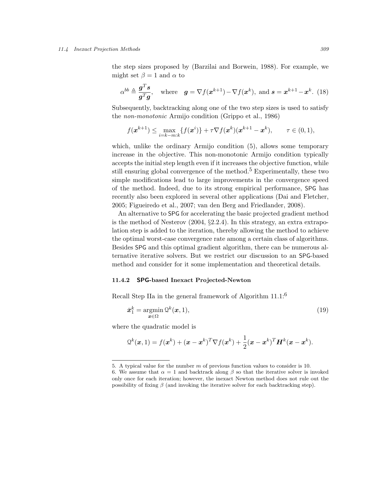#### 11.4 Inexact Projection Methods 309

the step sizes proposed by (Barzilai and Borwein, 1988). For example, we might set  $\beta = 1$  and  $\alpha$  to

$$
\alpha^{bb} \triangleq \frac{\mathbf{g}^T \mathbf{s}}{\mathbf{g}^T \mathbf{g}}, \quad \text{where} \quad \mathbf{g} = \nabla f(\mathbf{x}^{k+1}) - \nabla f(\mathbf{x}^k), \text{ and } \mathbf{s} = \mathbf{x}^{k+1} - \mathbf{x}^k. \tag{18}
$$

Subsequently, backtracking along one of the two step sizes is used to satisfy the non-monotonic Armijo condition (Grippo et al., 1986)

$$
f(\mathbf{x}^{k+1}) \leq \max_{i=k-m:k} \{f(\mathbf{x}^i)\} + \tau \nabla f(\mathbf{x}^k)(\mathbf{x}^{k+1} - \mathbf{x}^k), \qquad \tau \in (0,1),
$$

which, unlike the ordinary Armijo condition (5), allows some temporary increase in the objective. This non-monotonic Armijo condition typically accepts the initial step length even if it increases the objective function, while still ensuring global convergence of the method.<sup>5</sup> Experimentally, these two simple modifications lead to large improvements in the convergence speed of the method. Indeed, due to its strong empirical performance, SPG has recently also been explored in several other applications (Dai and Fletcher, 2005; Figueiredo et al., 2007; van den Berg and Friedlander, 2008).

An alternative to SPG for accelerating the basic projected gradient method is the method of Nesterov (2004, §2.2.4). In this strategy, an extra extrapolation step is added to the iteration, thereby allowing the method to achieve the optimal worst-case convergence rate among a certain class of algorithms. Besides SPG and this optimal gradient algorithm, there can be numerous alternative iterative solvers. But we restrict our discussion to an SPG-based method and consider for it some implementation and theoretical details.

# 11.4.2 SPG-based Inexact Projected-Newton

Recall Step IIa in the general framework of Algorithm  $11.1$ <sup>6</sup>

$$
\bar{x}_1^k = \operatorname*{argmin}_{\bm{x} \in \Omega} \mathcal{Q}^k(\bm{x}, 1),\tag{19}
$$

where the quadratic model is

$$
\mathcal{Q}^k(\boldsymbol{x},1) = f(\boldsymbol{x}^k) + (\boldsymbol{x} - \boldsymbol{x}^k)^T \nabla f(\boldsymbol{x}^k) + \frac{1}{2} (\boldsymbol{x} - \boldsymbol{x}^k)^T \boldsymbol{H}^k(\boldsymbol{x} - \boldsymbol{x}^k).
$$

<sup>5.</sup> A typical value for the number  $m$  of previous function values to consider is 10.

<sup>6.</sup> We assume that  $\alpha = 1$  and backtrack along  $\beta$  so that the iterative solver is invoked only once for each iteration; however, the inexact Newton method does not rule out the possibility of fixing  $\beta$  (and invoking the iterative solver for each backtracking step).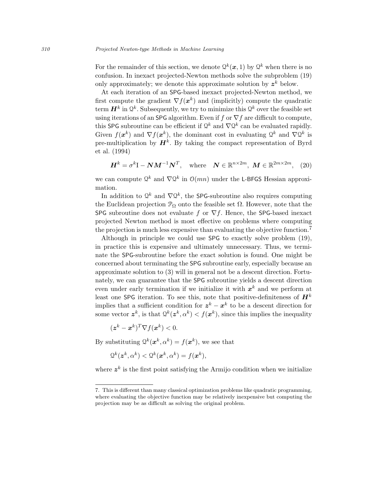For the remainder of this section, we denote  $\mathcal{Q}^k(\boldsymbol{x}, 1)$  by  $\mathcal{Q}^k$  when there is no confusion. In inexact projected-Newton methods solve the subproblem (19) only approximately; we denote this approximate solution by  $z^k$  below.

At each iteration of an SPG-based inexact projected-Newton method, we first compute the gradient  $\nabla f(\boldsymbol{x}^k)$  and (implicitly) compute the quadratic term  $\mathbf{H}^k$  in  $\mathcal{Q}^k$ . Subsequently, we try to minimize this  $\mathcal{Q}^k$  over the feasible set using iterations of an SPG algorithm. Even if f or  $\nabla f$  are difficult to compute, this SPG subroutine can be efficient if  $\mathcal{Q}^k$  and  $\nabla \mathcal{Q}^k$  can be evaluated rapidly. Given  $f(\boldsymbol{x}^k)$  and  $\nabla f(\boldsymbol{x}^k)$ , the dominant cost in evaluating  $\mathcal{Q}^k$  and  $\nabla \mathcal{Q}^k$  is pre-multiplication by  $H^k$ . By taking the compact representation of Byrd et al. (1994)

$$
\boldsymbol{H}^{k} = \sigma^{k} \mathbf{I} - \boldsymbol{N} \boldsymbol{M}^{-1} \boldsymbol{N}^{T}, \quad \text{where} \quad \boldsymbol{N} \in \mathbb{R}^{n \times 2m}, \ \boldsymbol{M} \in \mathbb{R}^{2m \times 2m}, \tag{20}
$$

we can compute  $\mathcal{Q}^k$  and  $\nabla \mathcal{Q}^k$  in  $\mathcal{O}(mn)$  under the L-BFGS Hessian approximation.

In addition to  $\mathcal{Q}^k$  and  $\nabla \mathcal{Q}^k$ , the SPG-subroutine also requires computing the Euclidean projection  $\mathcal{P}_{\Omega}$  onto the feasible set  $\Omega$ . However, note that the SPG subroutine does not evaluate f or  $\nabla f$ . Hence, the SPG-based inexact projected Newton method is most effective on problems where computing the projection is much less expensive than evaluating the objective function.<sup>7</sup>

Although in principle we could use SPG to exactly solve problem (19), in practice this is expensive and ultimately unnecessary. Thus, we terminate the SPG-subroutine before the exact solution is found. One might be concerned about terminating the SPG subroutine early, especially because an approximate solution to (3) will in general not be a descent direction. Fortunately, we can guarantee that the SPG subroutine yields a descent direction even under early termination if we initialize it with  $x^k$  and we perform at least one SPG iteration. To see this, note that positive-definiteness of  $\mathbf{H}^{k}$ implies that a sufficient condition for  $z^k - x^k$  to be a descent direction for some vector  $z^k$ , is that  $\mathcal{Q}^k(z^k, \alpha^k) < f(x^k)$ , since this implies the inequality

$$
(\boldsymbol{z}^k - \boldsymbol{x}^k)^T \nabla f(\boldsymbol{x}^k) < 0.
$$

By substituting  $Q^k(\boldsymbol{x}^k, \alpha^k) = f(\boldsymbol{x}^k)$ , we see that

$$
\mathcal{Q}^k(\mathbf{z}^k, \alpha^k) < \mathcal{Q}^k(\mathbf{x}^k, \alpha^k) = f(\mathbf{x}^k),
$$

where  $z^k$  is the first point satisfying the Armijo condition when we initialize

<sup>7.</sup> This is different than many classical optimization problems like quadratic programming, where evaluating the objective function may be relatively inexpensive but computing the projection may be as difficult as solving the original problem.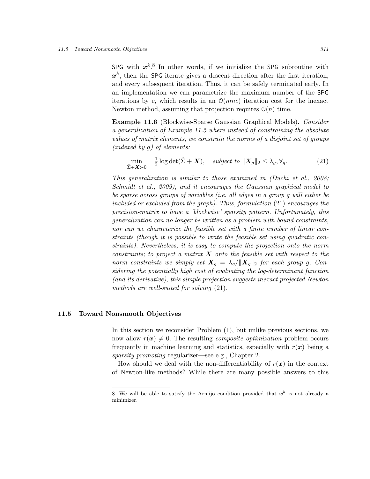SPG with  $x^k$ .<sup>8</sup> In other words, if we initialize the SPG subroutine with  $x^k$ , then the SPG iterate gives a descent direction after the first iteration, and every subsequent iteration. Thus, it can be safely terminated early. In an implementation we can parametrize the maximum number of the SPG iterations by c, which results in an  $\mathcal{O}(mnc)$  iteration cost for the inexact Newton method, assuming that projection requires  $\mathcal{O}(n)$  time.

Example 11.6 (Blockwise-Sparse Gaussian Graphical Models). Consider a generalization of Example 11.5 where instead of constraining the absolute values of matrix elements, we constrain the norms of a disjoint set of groups (indexed by g) of elements:

$$
\min_{\tilde{\Sigma}+\mathbf{X}\succ0} \quad \frac{1}{2}\log\det(\tilde{\Sigma}+\mathbf{X}), \quad subject \quad to \quad \|\mathbf{X}_g\|_2 \leq \lambda_g, \forall g. \tag{21}
$$

This generalization is similar to those examined in (Duchi et al., 2008; Schmidt et al., 2009), and it encourages the Gaussian graphical model to be sparse across groups of variables (i.e. all edges in a group g will either be included or excluded from the graph). Thus, formulation  $(21)$  encourages the precision-matrix to have a 'blockwise' sparsity pattern. Unfortunately, this generalization can no longer be written as a problem with bound constraints, nor can we characterize the feasible set with a finite number of linear constraints (though it is possible to write the feasible set using quadratic constraints). Nevertheless, it is easy to compute the projection onto the norm constraints; to project a matrix  $\boldsymbol{X}$  onto the feasible set with respect to the norm constraints we simply set  $\mathbf{X}_q = \lambda_q / ||\mathbf{X}_q||_2$  for each group g. Considering the potentially high cost of evaluating the log-determinant function (and its derivative), this simple projection suggests inexact projected-Newton methods are well-suited for solving (21).

# 11.5 Toward Nonsmooth Objectives

In this section we reconsider Problem (1), but unlike previous sections, we now allow  $r(x) \neq 0$ . The resulting *composite optimization* problem occurs frequently in machine learning and statistics, especially with  $r(x)$  being a sparsity promoting regularizer—see e.g., Chapter 2.

How should we deal with the non-differentiability of  $r(x)$  in the context of Newton-like methods? While there are many possible answers to this

<sup>8.</sup> We will be able to satisfy the Armijo condition provided that  $x^k$  is not already a minimizer.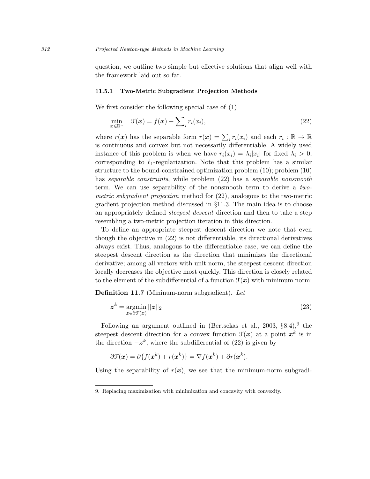question, we outline two simple but effective solutions that align well with the framework laid out so far.

## 11.5.1 Two-Metric Subgradient Projection Methods

We first consider the following special case of (1)

$$
\min_{\boldsymbol{x} \in \mathbb{R}^n} \quad \mathcal{F}(\boldsymbol{x}) = f(\boldsymbol{x}) + \sum_{i} r_i(x_i),\tag{22}
$$

where  $r(\boldsymbol{x})$  has the separable form  $r(\boldsymbol{x}) = \sum_i r_i(x_i)$  and each  $r_i : \mathbb{R} \to \mathbb{R}$ is continuous and convex but not necessarily differentiable. A widely used instance of this problem is when we have  $r_i(x_i) = \lambda_i |x_i|$  for fixed  $\lambda_i > 0$ , corresponding to  $\ell_1$ -regularization. Note that this problem has a similar structure to the bound-constrained optimization problem (10); problem (10) has separable constraints, while problem (22) has a separable nonsmooth term. We can use separability of the nonsmooth term to derive a twometric subgradient projection method for (22), analogous to the two-metric gradient projection method discussed in §11.3. The main idea is to choose an appropriately defined steepest descent direction and then to take a step resembling a two-metric projection iteration in this direction.

To define an appropriate steepest descent direction we note that even though the objective in (22) is not differentiable, its directional derivatives always exist. Thus, analogous to the differentiable case, we can define the steepest descent direction as the direction that minimizes the directional derivative; among all vectors with unit norm, the steepest descent direction locally decreases the objective most quickly. This direction is closely related to the element of the subdifferential of a function  $\mathcal{F}(\boldsymbol{x})$  with minimum norm:

Definition 11.7 (Mininum-norm subgradient). Let

$$
z^k = \underset{z \in \partial \mathcal{F}(x)}{\operatorname{argmin}} \, ||z||_2 \tag{23}
$$

Following an argument outlined in (Bertsekas et al., 2003,  $\S 8.4$ ), the steepest descent direction for a convex function  $\mathcal{F}(x)$  at a point  $x^k$  is in the direction  $-z^k$ , where the subdifferential of (22) is given by

$$
\partial \mathcal{F}(\boldsymbol{x}) = \partial \{f(\boldsymbol{x}^k) + r(\boldsymbol{x}^k)\} = \nabla f(\boldsymbol{x}^k) + \partial r(\boldsymbol{x}^k).
$$

Using the separability of  $r(x)$ , we see that the minimum-norm subgradi-

<sup>9.</sup> Replacing maximization with minimization and concavity with convexity.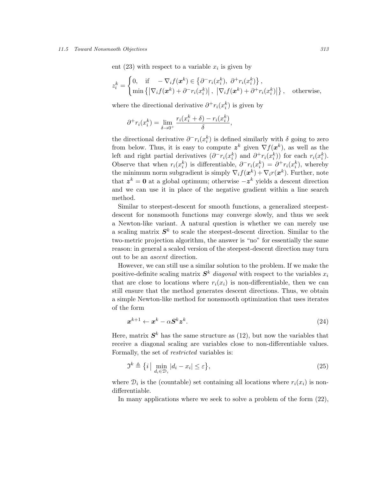#### 11.5 Toward Nonsmooth Objectives 313

ent (23) with respect to a variable  $x_i$  is given by

$$
z_i^k = \begin{cases} 0, & \text{if } -\nabla_i f(\mathbf{x}^k) \in \left\{\partial^- r_i(x_i^k), \ \partial^+ r_i(x_i^k)\right\}, \\ \min\left\{\left|\nabla_i f(\mathbf{x}^k) + \partial^- r_i(x_i^k)\right|, \ \left|\nabla_i f(\mathbf{x}^k) + \partial^+ r_i(x_i^k)\right|\right\}, \ \ \text{otherwise,} \end{cases}
$$

where the directional derivative  $\partial^+ r_i(x_i^k)$  is given by

$$
\partial^+ r_i(x_i^k) = \lim_{\delta \to 0^+} \frac{r_i(x_i^k + \delta) - r_i(x_i^k)}{\delta},
$$

the directional derivative  $\partial^- r_i(x_i^k)$  is defined similarly with  $\delta$  going to zero from below. Thus, it is easy to compute  $z^k$  given  $\nabla f(x^k)$ , as well as the left and right partial derivatives  $(\partial^- r_i(x_i^k)$  and  $\partial^+ r_i(x_i^k))$  for each  $r_i(x_i^k)$ . Observe that when  $r_i(x_i^k)$  is differentiable,  $\partial^- r_i(x_i^k) = \partial^+ r_i(x_i^k)$ , whereby the minimum norm subgradient is simply  $\nabla_i f(\boldsymbol{x}^k) + \nabla_i r(\boldsymbol{x}^k)$ . Further, note that  $z^k = 0$  at a global optimum; otherwise  $-z^k$  yields a descent direction and we can use it in place of the negative gradient within a line search method.

Similar to steepest-descent for smooth functions, a generalized steepestdescent for nonsmooth functions may converge slowly, and thus we seek a Newton-like variant. A natural question is whether we can merely use a scaling matrix  $S<sup>k</sup>$  to scale the steepest-descent direction. Similar to the two-metric projection algorithm, the answer is "no" for essentially the same reason: in general a scaled version of the steepest-descent direction may turn out to be an ascent direction.

However, we can still use a similar solution to the problem. If we make the positive-definite scaling matrix  $S^k$  diagonal with respect to the variables  $x_i$ that are close to locations where  $r_i(x_i)$  is non-differentiable, then we can still ensure that the method generates descent directions. Thus, we obtain a simple Newton-like method for nonsmooth optimization that uses iterates of the form

$$
x^{k+1} \leftarrow x^k - \alpha S^k z^k. \tag{24}
$$

Here, matrix  $S<sup>k</sup>$  has the same structure as (12), but now the variables that receive a diagonal scaling are variables close to non-differentiable values. Formally, the set of *restricted* variables is:

$$
\mathfrak{I}^k \triangleq \left\{ i \, \middle| \, \min_{d_i \in \mathcal{D}_i} |d_i - x_i| \le \varepsilon \right\},\tag{25}
$$

where  $\mathcal{D}_i$  is the (countable) set containing all locations where  $r_i(x_i)$  is nondifferentiable.

In many applications where we seek to solve a problem of the form (22),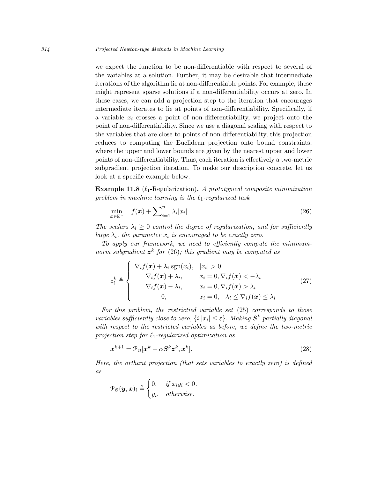we expect the function to be non-differentiable with respect to several of the variables at a solution. Further, it may be desirable that intermediate iterations of the algorithm lie at non-differentiable points. For example, these might represent sparse solutions if a non-differentiability occurs at zero. In these cases, we can add a projection step to the iteration that encourages intermediate iterates to lie at points of non-differentiability. Specifically, if a variable  $x_i$  crosses a point of non-differentiability, we project onto the point of non-differentiability. Since we use a diagonal scaling with respect to the variables that are close to points of non-differentiability, this projection reduces to computing the Euclidean projection onto bound constraints, where the upper and lower bounds are given by the nearest upper and lower points of non-differentiability. Thus, each iteration is effectively a two-metric subgradient projection iteration. To make our description concrete, let us look at a specific example below.

**Example 11.8** ( $\ell_1$ -Regularization). A prototypical composite minimization problem in machine learning is the  $\ell_1$ -regularized task

$$
\min_{\boldsymbol{x} \in \mathbb{R}^n} \quad f(\boldsymbol{x}) + \sum_{i=1}^n \lambda_i |x_i|.
$$
\n(26)

The scalars  $\lambda_i \geq 0$  control the degree of regularization, and for sufficiently large  $\lambda_i$ , the parameter  $x_i$  is encouraged to be exactly zero.

To apply our framework, we need to efficiently compute the minimumnorm subgradient  $z^k$  for (26); this gradient may be computed as

$$
z_i^k \triangleq \begin{cases} \n\nabla_i f(\boldsymbol{x}) + \lambda_i \operatorname{sgn}(x_i), & |x_i| > 0 \\ \n\nabla_i f(\boldsymbol{x}) + \lambda_i, & x_i = 0, \nabla_i f(\boldsymbol{x}) < -\lambda_i \\ \n\nabla_i f(\boldsymbol{x}) - \lambda_i, & x_i = 0, \nabla_i f(\boldsymbol{x}) > \lambda_i \\ \n0, & x_i = 0, -\lambda_i \leq \nabla_i f(\boldsymbol{x}) \leq \lambda_i \n\end{cases} \tag{27}
$$

For this problem, the restrictied variable set (25) corresponds to those variables sufficiently close to zero,  $\{i||x_i|\leq\varepsilon\}$ . Making  $\mathbf{S}^k$  partially diagonal with respect to the restricted variables as before, we define the two-metric projection step for  $\ell_1$ -regularized optimization as

$$
\boldsymbol{x}^{k+1} = \mathcal{P}_0[\boldsymbol{x}^k - \alpha \boldsymbol{S}^k \boldsymbol{z}^k, \boldsymbol{x}^k].
$$
\n(28)

Here, the orthant projection (that sets variables to exactly zero) is defined as

$$
\mathcal{P}_{\mathcal{O}}(\boldsymbol{y}, \boldsymbol{x})_i \triangleq \begin{cases} 0, & \text{if } x_i y_i < 0, \\ y_i, & \text{otherwise.} \end{cases}
$$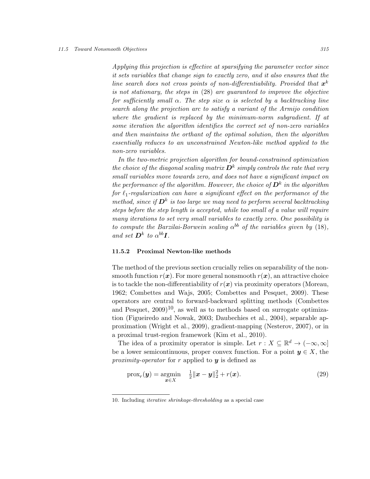#### 11.5 Toward Nonsmooth Objectives 315

Applying this projection is effective at sparsifying the parameter vector since it sets variables that change sign to exactly zero, and it also ensures that the line search does not cross points of non-differentiability. Provided that  $x^k$ is not stationary, the steps in (28) are guaranteed to improve the objective for sufficiently small  $\alpha$ . The step size  $\alpha$  is selected by a backtracking line search along the projection arc to satisfy a variant of the Armijo condition where the gradient is replaced by the minimum-norm subgradient. If at some iteration the algorithm identifies the correct set of non-zero variables and then maintains the orthant of the optimal solution, then the algorithm essentially reduces to an unconstrained Newton-like method applied to the non-zero variables.

In the two-metric projection algorithm for bound-constrained optimization the choice of the diagonal scaling matrix  $\bm{D}^k$  simply controls the rate that very small variables move towards zero, and does not have a significant impact on the performance of the algorithm. However, the choice of  $\bm{D}^k$  in the algorithm for  $\ell_1$ -regularization can have a significant effect on the performance of the method, since if  $\bm{D}^k$  is too large we may need to perform several backtracking steps before the step length is accepted, while too small of a value will require many iterations to set very small variables to exactly zero. One possibility is to compute the Barzilai-Borwein scaling  $\alpha^{bb}$  of the variables given by (18), and set  $\mathbf{D}^k$  to  $\alpha^{bb}$ **I**.

## 11.5.2 Proximal Newton-like methods

The method of the previous section crucially relies on separability of the nonsmooth function  $r(x)$ . For more general nonsmooth  $r(x)$ , an attractive choice is to tackle the non-differentiability of  $r(x)$  via proximity operators (Moreau, 1962; Combettes and Wajs, 2005; Combettes and Pesquet, 2009). These operators are central to forward-backward splitting methods (Combettes and Pesquet,  $2009$ <sup>10</sup>, as well as to methods based on surrogate optimization (Figueiredo and Nowak, 2003; Daubechies et al., 2004), separable approximation (Wright et al., 2009), gradient-mapping (Nesterov, 2007), or in a proximal trust-region framework (Kim et al., 2010).

The idea of a proximity operator is simple. Let  $r : X \subseteq \mathbb{R}^d \to (-\infty, \infty]$ be a lower semicontinuous, proper convex function. For a point  $y \in X$ , the proximity-operator for r applied to  $y$  is defined as

$$
\text{prox}_r(\boldsymbol{y}) = \underset{\boldsymbol{x} \in X}{\text{argmin}} \quad \frac{1}{2} \|\boldsymbol{x} - \boldsymbol{y}\|_2^2 + r(\boldsymbol{x}). \tag{29}
$$

<sup>10.</sup> Including iterative shrinkage-thresholding as a special case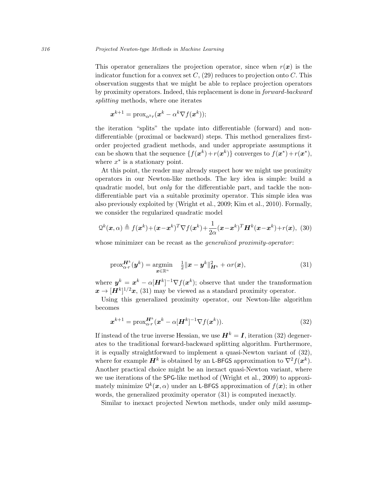This operator generalizes the projection operator, since when  $r(x)$  is the indicator function for a convex set  $C$ , (29) reduces to projection onto C. This observation suggests that we might be able to replace projection operators by proximity operators. Indeed, this replacement is done in forward-backward splitting methods, where one iterates

$$
\boldsymbol{x}^{k+1} = \mathrm{prox}_{\alpha^k r}(\boldsymbol{x}^k - \alpha^k \nabla f(\boldsymbol{x}^k));
$$

the iteration "splits" the update into differentiable (forward) and nondifferentiable (proximal or backward) steps. This method generalizes firstorder projected gradient methods, and under appropriate assumptions it can be shown that the sequence  $\{f(\mathbf{x}^k) + r(\mathbf{x}^k)\}$  converges to  $f(\mathbf{x}^*) + r(\mathbf{x}^*),$ where  $x^*$  is a stationary point.

At this point, the reader may already suspect how we might use proximity operators in our Newton-like methods. The key idea is simple: build a quadratic model, but only for the differentiable part, and tackle the nondifferentiable part via a suitable proximity operator. This simple idea was also previously exploited by (Wright et al., 2009; Kim et al., 2010). Formally, we consider the regularized quadratic model

$$
\mathcal{Q}^k(\boldsymbol{x}, \alpha) \triangleq f(\boldsymbol{x}^k) + (\boldsymbol{x} - \boldsymbol{x}^k)^T \nabla f(\boldsymbol{x}^k) + \frac{1}{2\alpha} (\boldsymbol{x} - \boldsymbol{x}^k)^T \boldsymbol{H}^k(\boldsymbol{x} - \boldsymbol{x}^k) + r(\boldsymbol{x}), \tag{30}
$$

whose minimizer can be recast as the *generalized proximity-operator*:

$$
\text{prox}_{\alpha \cdot r}^{\mathbf{H}^k}(\mathbf{y}^k) = \underset{\mathbf{x} \in \mathbb{R}^n}{\text{argmin}} \quad \frac{1}{2} \|\mathbf{x} - \mathbf{y}^k\|_{\mathbf{H}^k}^2 + \alpha r(\mathbf{x}), \tag{31}
$$

where  $y^k = x^k - \alpha[H^k]^{-1} \nabla f(x^k)$ ; observe that under the transformation  $\boldsymbol{x} \to [\boldsymbol{H}^k]^{1/2} \boldsymbol{x}$ , (31) may be viewed as a standard proximity operator.

Using this generalized proximity operator, our Newton-like algorithm becomes

$$
\boldsymbol{x}^{k+1} = \text{prox}_{\alpha \cdot r}^{\mathbf{H}^k} (\boldsymbol{x}^k - \alpha [\mathbf{H}^k]^{-1} \nabla f(\boldsymbol{x}^k)).
$$
\n(32)

If instead of the true inverse Hessian, we use  $\mathbf{H}^{k} = \mathbf{I}$ , iteration (32) degenerates to the traditional forward-backward splitting algorithm. Furthermore, it is equally straightforward to implement a quasi-Newton variant of (32), where for example  $\mathbf{H}^k$  is obtained by an L-BFGS approximation to  $\nabla^2 f(\mathbf{x}^k)$ . Another practical choice might be an inexact quasi-Newton variant, where we use iterations of the SPG-like method of (Wright et al., 2009) to approximately minimize  $\mathcal{Q}^k(\boldsymbol{x}, \alpha)$  under an L-BFGS approximation of  $f(\boldsymbol{x})$ ; in other words, the generalized proximity operator (31) is computed inexactly.

Similar to inexact projected Newton methods, under only mild assump-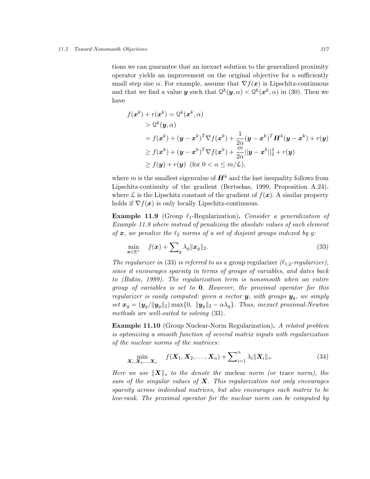#### 11.5 Toward Nonsmooth Objectives 317

tions we can guarantee that an inexact solution to the generalized proximity operator yields an improvement on the original objective for a sufficiently small step size  $\alpha$ . For example, assume that  $\nabla f(x)$  is Lipschitz-continuous and that we find a value **y** such that  $Q^k(\mathbf{y}, \alpha) < Q^k(\mathbf{x}^k, \alpha)$  in (30). Then we have

$$
f(\boldsymbol{x}^{k}) + r(\boldsymbol{x}^{k}) = \mathcal{Q}^{k}(\boldsymbol{x}^{k}, \alpha)
$$
  
>  $\mathcal{Q}^{k}(\boldsymbol{y}, \alpha)$   
=  $f(\boldsymbol{x}^{k}) + (\boldsymbol{y} - \boldsymbol{x}^{k})^{T} \nabla f(\boldsymbol{x}^{k}) + \frac{1}{2\alpha} (\boldsymbol{y} - \boldsymbol{x}^{k})^{T} \boldsymbol{H}^{k}(\boldsymbol{y} - \boldsymbol{x}^{k}) + r(\boldsymbol{y})$   
 $\geq f(\boldsymbol{x}^{k}) + (\boldsymbol{y} - \boldsymbol{x}^{k})^{T} \nabla f(\boldsymbol{x}^{k}) + \frac{m}{2\alpha} ||\boldsymbol{y} - \boldsymbol{x}^{k}||_{2}^{2} + r(\boldsymbol{y})$   
 $\geq f(\boldsymbol{y}) + r(\boldsymbol{y}) \text{ (for } 0 < \alpha \leq m/\mathcal{L}),$ 

where m is the smallest eigenvalue of  $\mathbf{H}^{k}$  and the last inequality follows from Lipschitz-continuity of the gradient (Bertsekas, 1999, Proposition A.24), where  $\mathcal L$  is the Lipschitz constant of the gradient of  $f(\mathbf x)$ . A similar property holds if  $\nabla f(\mathbf{x})$  is only locally Lipschitz-continuous.

**Example 11.9** (Group  $\ell_1$ -Regularization). Consider a generalization of Example 11.8 where instead of penalizing the absolute values of each element of  $x$ , we penalize the  $\ell_2$  norms of a set of disjoint groups indexed by g:

$$
\min_{\boldsymbol{x} \in \mathbb{R}^n} \quad f(\boldsymbol{x}) + \sum_{g} \lambda_g \|\boldsymbol{x}_g\|_2. \tag{33}
$$

The regularizer in (33) is referred to as a group regularizer  $(\ell_{1,2}$ -regularizer), since it encourages sparsity in terms of groups of variables, and dates back to (Bakin, 1999). The regularization term is nonsmooth when an entire group of variables is set to 0. However, the proximal operator for this regularizer is easily computed: given a vector  $y$ , with groups  $y_q$ , we simply set  $x_g = (y_g/\|y_g\|_2) \max\{0, \|y_g\|_2 - \alpha\lambda_g\}$ . Thus, inexact proximal-Newton methods are well-suited to solving (33).

Example 11.10 (Group Nuclear-Norm Regularization). A related problem is optimizing a smooth function of several matrix inputs with regularization of the nuclear norms of the matrices:

$$
\min_{\mathbf{X}_1, \mathbf{X}_2, ..., \mathbf{X}_n} \quad f(\mathbf{X}_1, \mathbf{X}_2, ..., \mathbf{X}_n) + \sum_{i=1}^n \lambda_i ||\mathbf{X}_i||_*.
$$
 (34)

Here we use  $\|\boldsymbol{X}\|_{*}$  to the denote the nuclear norm (or trace norm), the sum of the singular values of  $X$ . This regularization not only encourages sparsity across individual matrices, but also encourages each matrix to be low-rank. The proximal operator for the nuclear norm can be computed by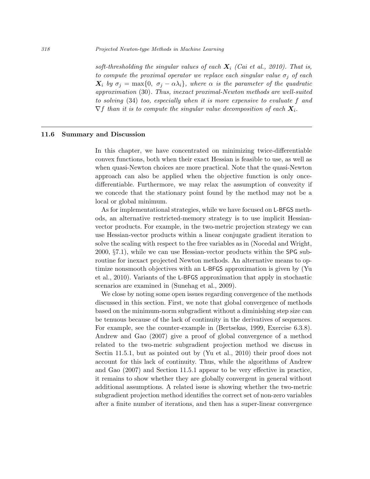soft-thresholding the singular values of each  $X_i$  (Cai et al., 2010). That is, to compute the proximal operator we replace each singular value  $\sigma_i$  of each  $X_i$  by  $\sigma_i = \max\{0, \sigma_i - \alpha\lambda_i\}$ , where  $\alpha$  is the parameter of the quadratic approximation (30). Thus, inexact proximal-Newton methods are well-suited to solving (34) too, especially when it is more expensive to evaluate f and  $\nabla f$  than it is to compute the singular value decomposition of each  $X_i$ .

## 11.6 Summary and Discussion

In this chapter, we have concentrated on minimizing twice-differentiable convex functions, both when their exact Hessian is feasible to use, as well as when quasi-Newton choices are more practical. Note that the quasi-Newton approach can also be applied when the objective function is only oncedifferentiable. Furthermore, we may relax the assumption of convexity if we concede that the stationary point found by the method may not be a local or global minimum.

As for implementational strategies, while we have focused on L-BFGS methods, an alternative restricted-memory strategy is to use implicit Hessianvector products. For example, in the two-metric projection strategy we can use Hessian-vector products within a linear conjugate gradient iteration to solve the scaling with respect to the free variables as in (Nocedal and Wright, 2000, §7.1), while we can use Hessian-vector products within the SPG subroutine for inexact projected Newton methods. An alternative means to optimize nonsmooth objectives with an L-BFGS approximation is given by (Yu et al., 2010). Variants of the L-BFGS approximation that apply in stochastic scenarios are examined in (Sunehag et al., 2009).

We close by noting some open issues regarding convergence of the methods discussed in this section. First, we note that global convergence of methods based on the minimum-norm subgradient without a diminishing step size can be tenuous because of the lack of continuity in the derivatives of sequences. For example, see the counter-example in (Bertsekas, 1999, Exercise 6.3.8). Andrew and Gao (2007) give a proof of global convergence of a method related to the two-metric subgradient projection method we discuss in Sectin 11.5.1, but as pointed out by (Yu et al., 2010) their proof does not account for this lack of continuity. Thus, while the algorithms of Andrew and Gao (2007) and Section 11.5.1 appear to be very effective in practice, it remains to show whether they are globally convergent in general without additional assumptions. A related issue is showing whether the two-metric subgradient projection method identifies the correct set of non-zero variables after a finite number of iterations, and then has a super-linear convergence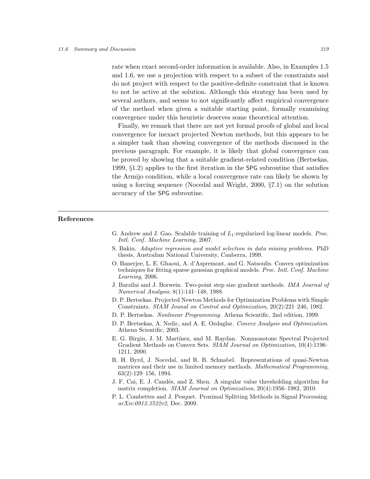rate when exact second-order information is available. Also, in Examples 1.5 and 1.6, we use a projection with respect to a subset of the constraints and do not project with respect to the positive-definite constraint that is known to not be active at the solution. Although this strategy has been used by several authors, and seems to not significantly affect empirical convergence of the method when given a suitable starting point, formally examining convergence under this heuristic deserves some theoretical attention.

Finally, we remark that there are not yet formal proofs of global and local convergence for inexact projected Newton methods, but this appears to be a simpler task than showing convergence of the methods discussed in the previous paragraph. For example, it is likely that global convergence can be proved by showing that a suitable gradient-related condition (Bertsekas, 1999, §1.2) applies to the first iteration in the SPG subroutine that satisfies the Armijo condition, while a local convergence rate can likely be shown by using a forcing sequence (Nocedal and Wright, 2000, §7.1) on the solution accuracy of the SPG subroutine.

# References

- G. Andrew and J. Gao. Scalable training of  $L_1$ -regularized log-linear models. *Proc.* Intl. Conf. Machine Learning, 2007.
- S. Bakin. Adaptive regression and model selection in data mining problems. PhD thesis, Australian National University, Canberra, 1999.
- O. Banerjee, L. E. Ghaoui, A. d'Aspremont, and G. Natsoulis. Convex optimization techniques for fitting sparse gaussian graphical models. Proc. Intl. Conf. Machine Learning, 2006.
- J. Barzilai and J. Borwein. Two-point step size gradient methods. IMA Journal of Numerical Analysis, 8(1):141–148, 1988.
- D. P. Bertsekas. Projected Newton Methods for Optimization Problems with Simple Constraints. SIAM Jounal on Control and Optimization, 20(2):221–246, 1982.
- D. P. Bertsekas. Nonlinear Programming. Athena Scientific, 2nd edition, 1999.
- D. P. Bertsekas, A. Nedic, and A. E. Ozdaglar. Convex Analysis and Optimization. Athena Scientific, 2003.
- E. G. Birgin, J. M. Mart´ınez, and M. Raydan. Nonmonotone Spectral Projected Gradient Methods on Convex Sets. SIAM Journal on Optimization, 10(4):1196– 1211, 2000.
- R. H. Byrd, J. Nocedal, and R. B. Schnabel. Representations of quasi-Newton matrices and their use in limited memory methods. *Mathematical Programming*, 63(2):129–156, 1994.
- J. F. Cai, E. J. Cand´es, and Z. Shen. A singular value thresholding algorithm for matrix completion. SIAM Journal on Optimization, 20(4):1956–1982, 2010.
- P. L. Combettes and J. Pesquet. Proximal Splitting Methods in Signal Processing. arXiv:0912.3522v2, Dec. 2009.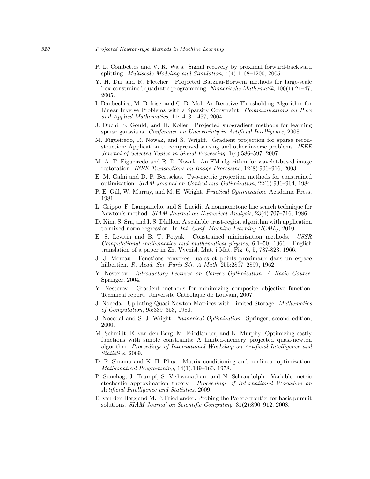#### 320 Projected Newton-type Methods in Machine Learning

- P. L. Combettes and V. R. Wajs. Signal recovery by proximal forward-backward splitting. Multiscale Modeling and Simulation, 4(4):1168–1200, 2005.
- Y. H. Dai and R. Fletcher. Projected Barzilai-Borwein methods for large-scale box-constrained quadratic programming. Numerische Mathematik, 100(1):21–47, 2005.
- I. Daubechies, M. Defrise, and C. D. Mol. An Iterative Thresholding Algorithm for Linear Inverse Problems with a Sparsity Constraint. Communications on Pure and Applied Mathematics, 11:1413–1457, 2004.
- J. Duchi, S. Gould, and D. Koller. Projected subgradient methods for learning sparse gaussians. Conference on Uncertainty in Artificial Intelligence, 2008.
- M. Figueiredo, R. Nowak, and S. Wright. Gradient projection for sparse reconstruction: Application to compressed sensing and other inverse problems. IEEE Journal of Selected Topics in Signal Processing, 1(4):586–597, 2007.
- M. A. T. Figueiredo and R. D. Nowak. An EM algorithm for wavelet-based image restoration. IEEE Transactions on Image Processing, 12(8):906–916, 2003.
- E. M. Gafni and D. P. Bertsekas. Two-metric projection methods for constrained optimization. SIAM Journal on Control and Optimization, 22(6):936–964, 1984.
- P. E. Gill, W. Murray, and M. H. Wright. Practical Optimization. Academic Press, 1981.
- L. Grippo, F. Lampariello, and S. Lucidi. A nonmonotone line search technique for Newton's method. SIAM Journal on Numerical Analysis, 23(4):707–716, 1986.
- D. Kim, S. Sra, and I. S. Dhillon. A scalable trust-region algorithm with application to mixed-norm regression. In Int. Conf. Machine Learning (ICML), 2010.
- E. S. Levitin and B. T. Polyak. Constrained minimization methods. USSR Computational mathematics and mathematical physics, 6:1–50, 1966. English translation of a paper in Zh. V $\bar{y}$ chisl. Mat. i Mat. Fiz. 6, 5, 787-823, 1966.
- J. J. Moreau. Fonctions convexes duales et points proximaux dans un espace hilbertien. R. Acad. Sci. Paris Sér. A Math, 255:2897-2899, 1962.
- Y. Nesterov. Introductory Lectures on Convex Optimization: A Basic Course. Springer, 2004.
- Y. Nesterov. Gradient methods for minimizing composite objective function. Technical report, Université Catholique do Louvain, 2007.
- J. Nocedal. Updating Quasi-Newton Matrices with Limited Storage. Mathematics of Computation, 95:339–353, 1980.
- J. Nocedal and S. J. Wright. Numerical Optimization. Springer, second edition, 2000.
- M. Schmidt, E. van den Berg, M. Friedlander, and K. Murphy. Optimizing costly functions with simple constraints: A limited-memory projected quasi-newton algorithm. Proceedings of International Workshop on Artificial Intelligence and Statistics, 2009.
- D. F. Shanno and K. H. Phua. Matrix conditioning and nonlinear optimization. Mathematical Programming, 14(1):149–160, 1978.
- P. Sunehag, J. Trumpf, S. Vishwanathan, and N. Schraudolph. Variable metric stochastic approximation theory. Proceedings of International Workshop on Artificial Intelligence and Statistics, 2009.
- E. van den Berg and M. P. Friedlander. Probing the Pareto frontier for basis pursuit solutions. SIAM Journal on Scientific Computing, 31(2):890–912, 2008.